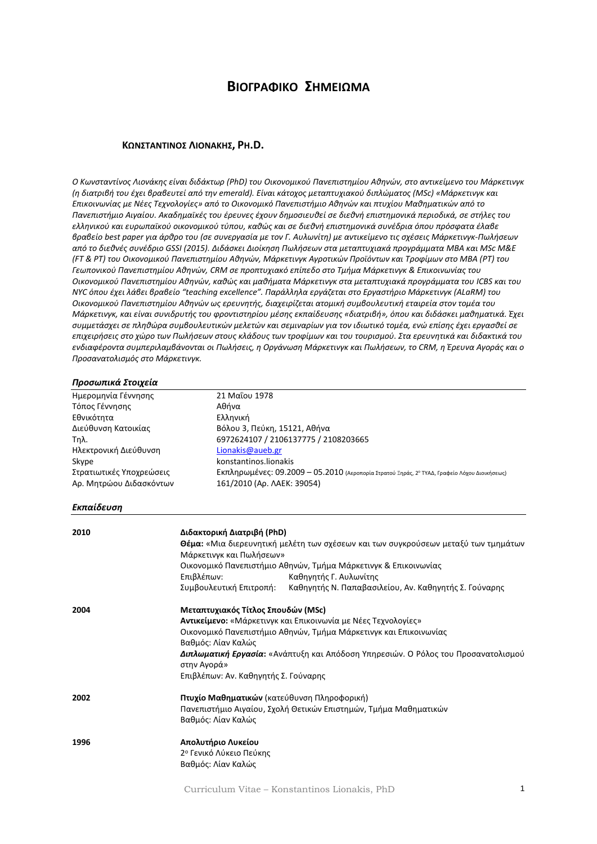# **ΒΙΟΓΡΑΦΙΚΟ ΣΗΜΕΙΩΜΑ**

#### **ΚΩNΣΤΑΝΤΙΝΟΣ ΛΙΟΝΑΚΗΣ, PH.D.**

*Ο Κωνσταντίνος Λιονάκης είναι διδάκτωρ (PhD) του Οικονομικού Πανεπιστημίου Αθηνών, στο αντικείμενο του Μάρκετινγκ (η διατριβή του έχει βραβευτεί από την emerald). Είναι κάτοχος μεταπτυχιακού διπλώματος (MSc) «Μάρκετινγκ και Επικοινωνίας με Νέες Τεχνολογίες» από το Οικονομικό Πανεπιστήμιο Αθηνών και πτυχίου Μαθηματικών από το Πανεπιστήμιο Αιγαίου. Ακαδημαϊκές του έρευνες έχουν δημοσιευθεί σε διεθνή επιστημονικά περιοδικά, σε στήλες του ελληνικού και ευρωπαϊκού οικονομικού τύπου, καθώς και σε διεθνή επιστημονικά συνέδρια όπου πρόσφατα έλαβε βραβείο best paper για άρθρο του (σε συνεργασία με τον Γ. Αυλωνίτη) με αντικείμενο τις σχέσεις Μάρκετινγκ-Πωλήσεων από το διεθνές συνέδριο GSSI (2015). Διδάσκει Διοίκηση Πωλήσεων στα μεταπτυχιακά προγράμματα ΜΒΑ και MSc Μ&Ε (FT & PT) του Οικονομικού Πανεπιστημίου Αθηνών, Μάρκετινγκ Αγροτικών Προϊόντων και Τροφίμων στο ΜΒΑ (PT) του Γεωπονικού Πανεπιστημίου Αθηνών, CRM σε προπτυχιακό επίπεδο στο Τμήμα Μάρκετινγκ & Επικοινωνίας του Οικονομικού Πανεπιστημίου Αθηνών, καθώς και μαθήματα Μάρκετινγκ στα μεταπτυχιακά προγράμματα του ICBS και του NYC όπου έχει λάβει βραβείο "teaching excellence". Παράλληλα εργάζεται στο Εργαστήριο Μάρκετινγκ (ALaRM) του Οικονομικού Πανεπιστημίου Αθηνών ως ερευνητής, διαχειρίζεται ατομική συμβουλευτική εταιρεία στον τομέα του Μάρκετινγκ, και είναι συνιδρυτής του φροντιστηρίου μέσης εκπαίδευσης «διατριβή», όπου και διδάσκει μαθηματικά. Έχει συμμετάσχει σε πληθώρα συμβουλευτικών μελετών και σεμιναρίων για τον ιδιωτικό τομέα, ενώ επίσης έχει εργασθεί σε επιχειρήσεις στο χώρο των Πωλήσεων στους κλάδους των τροφίμων και του τουρισμού. Στα ερευνητικά και διδακτικά του ενδιαφέροντα συμπεριλαμβάνονται οι Πωλήσεις, η Οργάνωση Μάρκετινγκ και Πωλήσεων, το CRM, η Έρευνα Αγοράς και ο Προσανατολισμός στο Μάρκετινγκ.* 

#### *Προσωπικά Στοιχεία*

| Ημερομηνία Γέννησης      | 21 Μαΐου 1978                                                                                |
|--------------------------|----------------------------------------------------------------------------------------------|
| Τόπος Γέννησης           | Αθήνα                                                                                        |
| Εθνικότητα               | Ελληνική                                                                                     |
| Διεύθυνση Κατοικίας      | Βόλου 3, Πεύκη, 15121, Αθήνα                                                                 |
| Τηλ.                     | 6972624107 / 2106137775 / 2108203665                                                         |
| Ηλεκτρονική Διεύθυνση    | Lionakis@aueb.gr                                                                             |
| Skype                    | konstantinos.lionakis                                                                        |
| Στρατιωτικές Υποχρεώσεις | Εκπληρωμένες: 09.2009 - 05.2010 (Αεροπορία Στρατού Ξηράς, 2° ΤΥΑΔ, Γραφείο Λόχου Διοικήσεως) |
| Αρ. Μητρώου Διδασκόντων  | 161/2010 (Ap. AAEK: 39054)                                                                   |
|                          |                                                                                              |

#### *Εκπαίδευση*

| 2010 | Διδακτορική Διατριβή (PhD)                                                                |
|------|-------------------------------------------------------------------------------------------|
|      | <b>Θέμα:</b> «Μια διερευνητική μελέτη των σχέσεων και των συγκρούσεων μεταξύ των τμημάτων |
|      | Μάρκετινγκ και Πωλήσεων»                                                                  |
|      | Οικονομικό Πανεπιστήμιο Αθηνών, Τμήμα Μάρκετινγκ & Επικοινωνίας                           |
|      | Επιβλέπων:<br>Καθηγητής Γ. Αυλωνίτης                                                      |
|      | Συμβουλευτική Επιτροπή:<br>Καθηγητής Ν. Παπαβασιλείου, Αν. Καθηγητής Σ. Γούναρης          |
| 2004 | Μεταπτυχιακός Τίτλος Σπουδών (MSc)                                                        |
|      | <b>Αντικείμενο:</b> «Μάρκετινγκ και Επικοινωνία με Νέες Τεχνολογίες»                      |
|      | Οικονομικό Πανεπιστήμιο Αθηνών, Τμήμα Μάρκετινγκ και Επικοινωνίας                         |
|      | Βαθμός: Λίαν Καλώς                                                                        |
|      | <b>Διπλωματική Εργασία:</b> «Ανάπτυξη και Απόδοση Υπηρεσιών. Ο Ρόλος του Προσανατολισμού  |
|      | στην Αγορά»                                                                               |
|      | Επιβλέπων: Αν. Καθηγητής Σ. Γούναρης                                                      |
| 2002 | Πτυχίο Μαθηματικών (κατεύθυνση Πληροφορική)                                               |
|      | Πανεπιστήμιο Αιγαίου, Σχολή Θετικών Επιστημών, Τμήμα Μαθηματικών                          |
|      | Βαθμός: Λίαν Καλώς                                                                        |
| 1996 | Απολυτήριο Λυκείου                                                                        |
|      | 2° Γενικό Λύκειο Πεύκης                                                                   |
|      | Βαθμός: Λίαν Καλώς                                                                        |
|      |                                                                                           |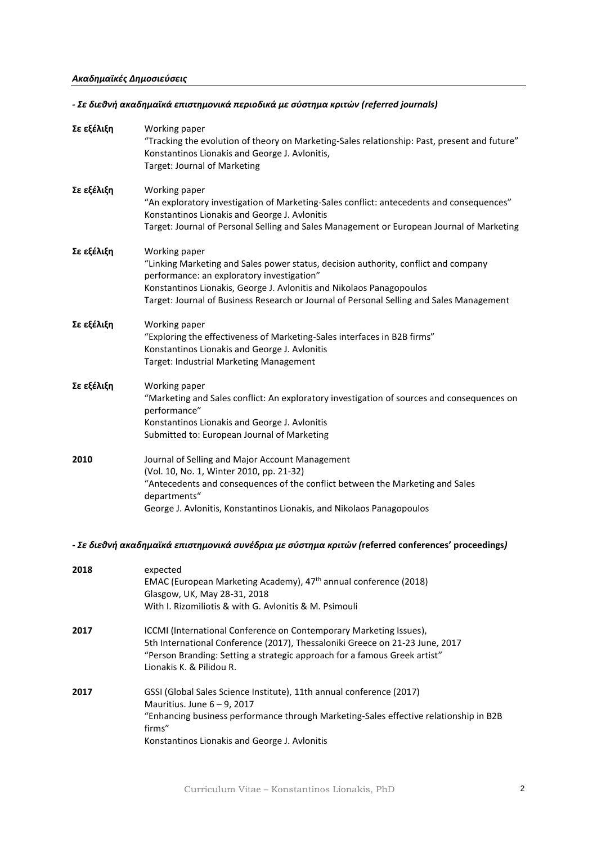# *Ακαδημαϊκές Δημοσιεύσεις*

# *- Σε διεθνή ακαδημαϊκά επιστημονικά περιοδικά με σύστημα κριτών (referred journals)*

| Σε εξέλιξη | Working paper<br>"Tracking the evolution of theory on Marketing-Sales relationship: Past, present and future"<br>Konstantinos Lionakis and George J. Avlonitis,<br>Target: Journal of Marketing                                                                                                                        |
|------------|------------------------------------------------------------------------------------------------------------------------------------------------------------------------------------------------------------------------------------------------------------------------------------------------------------------------|
| Σε εξέλιξη | Working paper<br>"An exploratory investigation of Marketing-Sales conflict: antecedents and consequences"<br>Konstantinos Lionakis and George J. Avlonitis<br>Target: Journal of Personal Selling and Sales Management or European Journal of Marketing                                                                |
| Σε εξέλιξη | Working paper<br>"Linking Marketing and Sales power status, decision authority, conflict and company<br>performance: an exploratory investigation"<br>Konstantinos Lionakis, George J. Avlonitis and Nikolaos Panagopoulos<br>Target: Journal of Business Research or Journal of Personal Selling and Sales Management |
| Σε εξέλιξη | Working paper<br>"Exploring the effectiveness of Marketing-Sales interfaces in B2B firms"<br>Konstantinos Lionakis and George J. Avlonitis<br>Target: Industrial Marketing Management                                                                                                                                  |
| Σε εξέλιξη | Working paper<br>"Marketing and Sales conflict: An exploratory investigation of sources and consequences on<br>performance"<br>Konstantinos Lionakis and George J. Avlonitis<br>Submitted to: European Journal of Marketing                                                                                            |
| 2010       | Journal of Selling and Major Account Management<br>(Vol. 10, No. 1, Winter 2010, pp. 21-32)<br>"Antecedents and consequences of the conflict between the Marketing and Sales<br>departments"<br>George J. Avlonitis, Konstantinos Lionakis, and Nikolaos Panagopoulos                                                  |
|            | - Σε διεθνή ακαδημαϊκά επιστημονικά συνέδρια με σύστημα κριτών (referred conferences' proceedings)                                                                                                                                                                                                                     |

| 2018 | expected<br>EMAC (European Marketing Academy), 47 <sup>th</sup> annual conference (2018)<br>Glasgow, UK, May 28-31, 2018<br>With I. Rizomiliotis & with G. Aylonitis & M. Psimouli                                                                                 |
|------|--------------------------------------------------------------------------------------------------------------------------------------------------------------------------------------------------------------------------------------------------------------------|
| 2017 | <b>ICCMI</b> (International Conference on Contemporary Marketing Issues),<br>5th International Conference (2017), Thessaloniki Greece on 21-23 June, 2017<br>"Person Branding: Setting a strategic approach for a famous Greek artist"<br>Lionakis K. & Pilidou R. |
| 2017 | GSSI (Global Sales Science Institute), 11th annual conference (2017)<br>Mauritius. June $6 - 9$ , 2017<br>"Enhancing business performance through Marketing-Sales effective relationship in B2B<br>firms"<br>Konstantinos Lionakis and George J. Avlonitis         |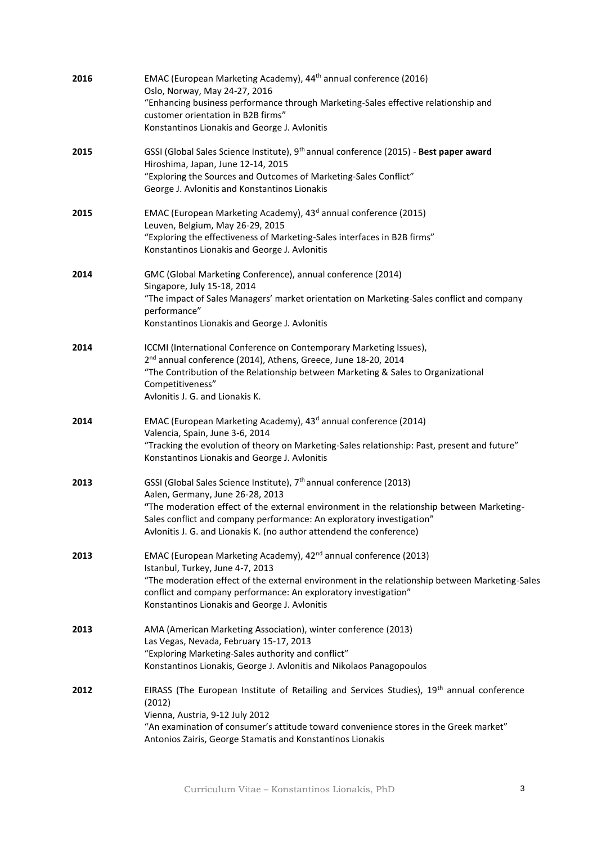| 2016 | EMAC (European Marketing Academy), 44 <sup>th</sup> annual conference (2016)<br>Oslo, Norway, May 24-27, 2016<br>"Enhancing business performance through Marketing-Sales effective relationship and<br>customer orientation in B2B firms"<br>Konstantinos Lionakis and George J. Avlonitis                                                                        |
|------|-------------------------------------------------------------------------------------------------------------------------------------------------------------------------------------------------------------------------------------------------------------------------------------------------------------------------------------------------------------------|
| 2015 | GSSI (Global Sales Science Institute), 9 <sup>th</sup> annual conference (2015) - Best paper award<br>Hiroshima, Japan, June 12-14, 2015<br>"Exploring the Sources and Outcomes of Marketing-Sales Conflict"<br>George J. Avlonitis and Konstantinos Lionakis                                                                                                     |
| 2015 | EMAC (European Marketing Academy), 43 <sup>d</sup> annual conference (2015)<br>Leuven, Belgium, May 26-29, 2015<br>"Exploring the effectiveness of Marketing-Sales interfaces in B2B firms"<br>Konstantinos Lionakis and George J. Avlonitis                                                                                                                      |
| 2014 | GMC (Global Marketing Conference), annual conference (2014)<br>Singapore, July 15-18, 2014<br>"The impact of Sales Managers' market orientation on Marketing-Sales conflict and company<br>performance"<br>Konstantinos Lionakis and George J. Avlonitis                                                                                                          |
| 2014 | ICCMI (International Conference on Contemporary Marketing Issues),<br>2 <sup>nd</sup> annual conference (2014), Athens, Greece, June 18-20, 2014<br>"The Contribution of the Relationship between Marketing & Sales to Organizational<br>Competitiveness"<br>Avlonitis J. G. and Lionakis K.                                                                      |
| 2014 | EMAC (European Marketing Academy), 43 <sup>d</sup> annual conference (2014)<br>Valencia, Spain, June 3-6, 2014<br>"Tracking the evolution of theory on Marketing-Sales relationship: Past, present and future"<br>Konstantinos Lionakis and George J. Avlonitis                                                                                                   |
| 2013 | GSSI (Global Sales Science Institute), 7 <sup>th</sup> annual conference (2013)<br>Aalen, Germany, June 26-28, 2013<br>"The moderation effect of the external environment in the relationship between Marketing-<br>Sales conflict and company performance: An exploratory investigation"<br>Avlonitis J. G. and Lionakis K. (no author attendend the conference) |
| 2013 | EMAC (European Marketing Academy), 42 <sup>nd</sup> annual conference (2013)<br>Istanbul, Turkey, June 4-7, 2013<br>"The moderation effect of the external environment in the relationship between Marketing-Sales<br>conflict and company performance: An exploratory investigation"<br>Konstantinos Lionakis and George J. Avlonitis                            |
| 2013 | AMA (American Marketing Association), winter conference (2013)<br>Las Vegas, Nevada, February 15-17, 2013<br>"Exploring Marketing-Sales authority and conflict"<br>Konstantinos Lionakis, George J. Avlonitis and Nikolaos Panagopoulos                                                                                                                           |
| 2012 | EIRASS (The European Institute of Retailing and Services Studies), 19 <sup>th</sup> annual conference<br>(2012)<br>Vienna, Austria, 9-12 July 2012<br>"An examination of consumer's attitude toward convenience stores in the Greek market"<br>Antonios Zairis, George Stamatis and Konstantinos Lionakis                                                         |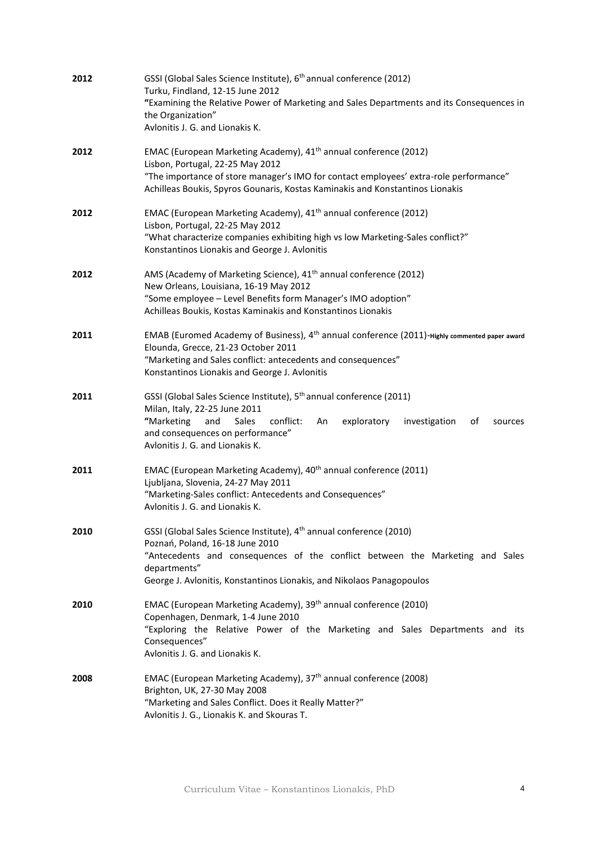| 2012 | GSSI (Global Sales Science Institute), 6 <sup>th</sup> annual conference (2012)<br>Turku, Findland, 12-15 June 2012<br>"Examining the Relative Power of Marketing and Sales Departments and its Consequences in<br>the Organization"<br>Avlonitis J. G. and Lionakis K.                      |
|------|----------------------------------------------------------------------------------------------------------------------------------------------------------------------------------------------------------------------------------------------------------------------------------------------|
| 2012 | EMAC (European Marketing Academy), 41 <sup>th</sup> annual conference (2012)<br>Lisbon, Portugal, 22-25 May 2012<br>"The importance of store manager's IMO for contact employees' extra-role performance"<br>Achilleas Boukis, Spyros Gounaris, Kostas Kaminakis and Konstantinos Lionakis   |
| 2012 | EMAC (European Marketing Academy), 41 <sup>th</sup> annual conference (2012)<br>Lisbon, Portugal, 22-25 May 2012<br>"What characterize companies exhibiting high vs low Marketing-Sales conflict?"<br>Konstantinos Lionakis and George J. Avlonitis                                          |
| 2012 | AMS (Academy of Marketing Science), 41 <sup>th</sup> annual conference (2012)<br>New Orleans, Louisiana, 16-19 May 2012<br>"Some employee - Level Benefits form Manager's IMO adoption"<br>Achilleas Boukis, Kostas Kaminakis and Konstantinos Lionakis                                      |
| 2011 | EMAB (Euromed Academy of Business), 4 <sup>th</sup> annual conference (2011)-Highly commented paper award<br>Elounda, Grecce, 21-23 October 2011<br>"Marketing and Sales conflict: antecedents and consequences"<br>Konstantinos Lionakis and George J. Avlonitis                            |
| 2011 | GSSI (Global Sales Science Institute), 5 <sup>th</sup> annual conference (2011)<br>Milan, Italy, 22-25 June 2011<br>"Marketing<br>and<br>Sales<br>exploratory<br>conflict:<br>An<br>investigation<br>of<br>sources<br>and consequences on performance"<br>Avlonitis J. G. and Lionakis K.    |
| 2011 | EMAC (European Marketing Academy), 40 <sup>th</sup> annual conference (2011)<br>Ljubljana, Slovenia, 24-27 May 2011<br>"Marketing-Sales conflict: Antecedents and Consequences"<br>Avlonitis J. G. and Lionakis K.                                                                           |
| 2010 | GSSI (Global Sales Science Institute), 4 <sup>th</sup> annual conference (2010)<br>Poznań, Poland, 16-18 June 2010<br>"Antecedents and consequences of the conflict between the Marketing and Sales<br>departments"<br>George J. Avlonitis, Konstantinos Lionakis, and Nikolaos Panagopoulos |
| 2010 | EMAC (European Marketing Academy), 39 <sup>th</sup> annual conference (2010)<br>Copenhagen, Denmark, 1-4 June 2010<br>"Exploring the Relative Power of the Marketing and Sales Departments and its<br>Consequences"<br>Avlonitis J. G. and Lionakis K.                                       |
| 2008 | EMAC (European Marketing Academy), 37 <sup>th</sup> annual conference (2008)<br>Brighton, UK, 27-30 May 2008<br>"Marketing and Sales Conflict. Does it Really Matter?"<br>Avlonitis J. G., Lionakis K. and Skouras T.                                                                        |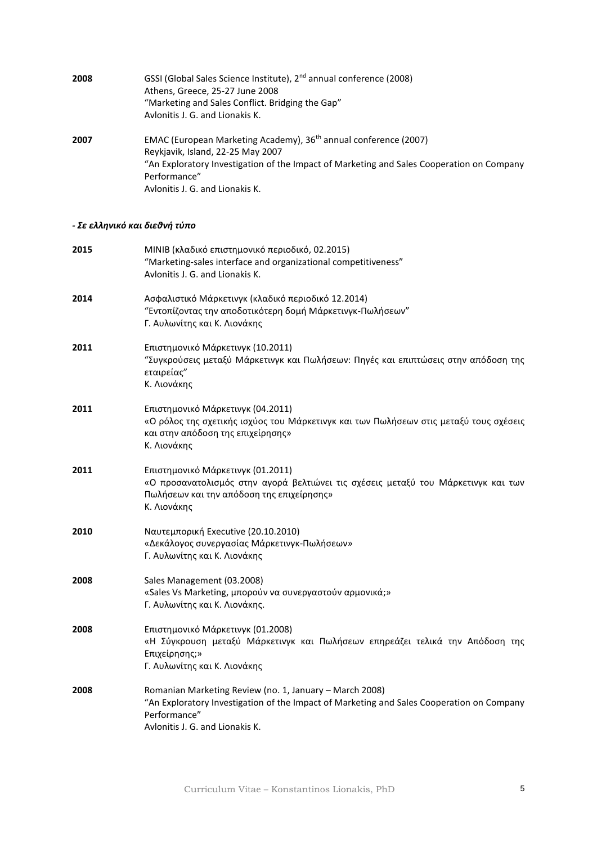| 2008 | GSSI (Global Sales Science Institute), 2 <sup>nd</sup> annual conference (2008)<br>Athens, Greece, 25-27 June 2008<br>"Marketing and Sales Conflict. Bridging the Gap"<br>Avlonitis J. G. and Lionakis K.                                                         |
|------|-------------------------------------------------------------------------------------------------------------------------------------------------------------------------------------------------------------------------------------------------------------------|
| 2007 | EMAC (European Marketing Academy), 36 <sup>th</sup> annual conference (2007)<br>Reykjavik, Island, 22-25 May 2007<br>"An Exploratory Investigation of the Impact of Marketing and Sales Cooperation on Company<br>Performance"<br>Avlonitis J. G. and Lionakis K. |
|      | - Σε ελληνικό και διεθνή τύπο                                                                                                                                                                                                                                     |
| 2015 | ΜΙΝΙΒ (κλαδικό επιστημονικό περιοδικό, 02.2015)<br>"Marketing-sales interface and organizational competitiveness"<br>Avlonitis J. G. and Lionakis K.                                                                                                              |
| 2014 | Ασφαλιστικό Μάρκετινγκ (κλαδικό περιοδικό 12.2014)<br>"Εντοπίζοντας την αποδοτικότερη δομή Μάρκετινγκ-Πωλήσεων"<br>Γ. Αυλωνίτης και Κ. Λιονάκης                                                                                                                   |
| 2011 | Επιστημονικό Μάρκετινγκ (10.2011)<br>"Συγκρούσεις μεταξύ Μάρκετινγκ και Πωλήσεων: Πηγές και επιπτώσεις στην απόδοση της<br>εταιρείας"<br>Κ. Λιονάκης                                                                                                              |
| 2011 | Επιστημονικό Μάρκετινγκ (04.2011)<br>«Ο ρόλος της σχετικής ισχύος του Μάρκετινγκ και των Πωλήσεων στις μεταξύ τους σχέσεις<br>και στην απόδοση της επιχείρησης»<br>Κ. Λιονάκης                                                                                    |
| 2011 | Επιστημονικό Μάρκετινγκ (01.2011)<br>«Ο προσανατολισμός στην αγορά βελτιώνει τις σχέσεις μεταξύ του Μάρκετινγκ και των<br>Πωλήσεων και την απόδοση της επιχείρησης»<br>Κ. Λιονάκης                                                                                |
| 2010 | Ναυτεμπορική Executive (20.10.2010)<br>«Δεκάλογος συνεργασίας Μάρκετινγκ-Πωλήσεων»<br>Γ. Αυλωνίτης και Κ. Λιονάκης                                                                                                                                                |
| 2008 | Sales Management (03.2008)<br>«Sales Vs Marketing, μπορούν να συνεργαστούν αρμονικά;»<br>Γ. Αυλωνίτης και Κ. Λιονάκης.                                                                                                                                            |
| 2008 | Επιστημονικό Μάρκετινγκ (01.2008)<br>«Η Σύγκρουση μεταξύ Μάρκετινγκ και Πωλήσεων επηρεάζει τελικά την Απόδοση της<br>Επιχείρησης;»<br>Γ. Αυλωνίτης και Κ. Λιονάκης                                                                                                |
| 2008 | Romanian Marketing Review (no. 1, January - March 2008)<br>"An Exploratory Investigation of the Impact of Marketing and Sales Cooperation on Company<br>Performance"<br>Avlonitis J. G. and Lionakis K.                                                           |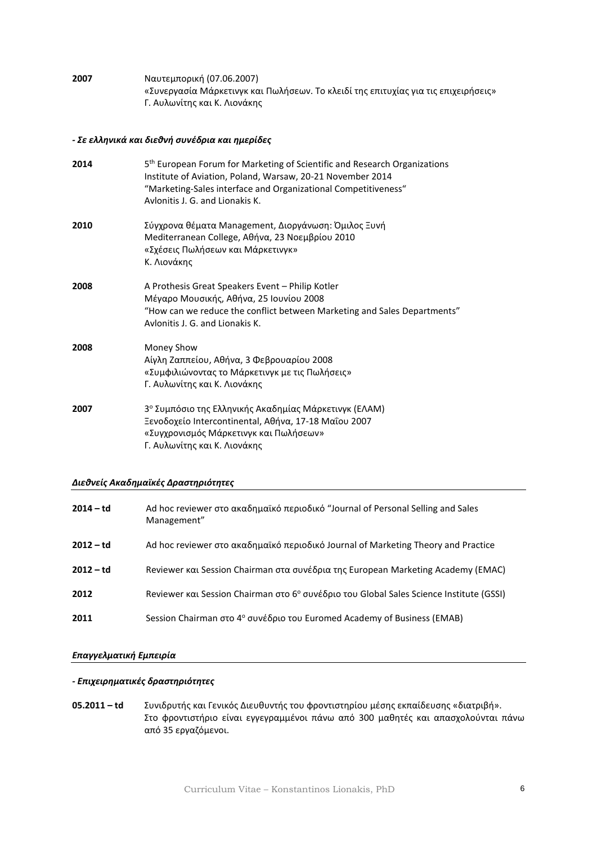**2007** Ναυτεμπορική (07.06.2007) «Συνεργασία Μάρκετινγκ και Πωλήσεων. Το κλειδί της επιτυχίας για τις επιχειρήσεις» Γ. Αυλωνίτης και Κ. Λιονάκης

### *- Σε ελληνικά και διεθνή συνέδρια και ημερίδες*

| 2014 | 5 <sup>th</sup> European Forum for Marketing of Scientific and Research Organizations<br>Institute of Aviation, Poland, Warsaw, 20-21 November 2014<br>"Marketing-Sales interface and Organizational Competitiveness"<br>Avlonitis J. G. and Lionakis K. |
|------|----------------------------------------------------------------------------------------------------------------------------------------------------------------------------------------------------------------------------------------------------------|
| 2010 | Σύγχρονα θέματα Management, Διοργάνωση: Όμιλος Ξυνή<br>Mediterranean College, Αθήνα, 23 Νοεμβρίου 2010<br>«Σχέσεις Πωλήσεων και Μάρκετινγκ»<br>Κ. Λιονάκης                                                                                               |
| 2008 | A Prothesis Great Speakers Event - Philip Kotler<br>Μέγαρο Μουσικής, Αθήνα, 25 Ιουνίου 2008<br>"How can we reduce the conflict between Marketing and Sales Departments"<br>Avlonitis J. G. and Lionakis K.                                               |
| 2008 | Money Show<br>Αίγλη Ζαππείου, Αθήνα, 3 Φεβρουαρίου 2008<br>«Συμφιλιώνοντας το Μάρκετινγκ με τις Πωλήσεις»<br>Γ. Αυλωνίτης και Κ. Λιονάκης                                                                                                                |
| 2007 | 3 <sup>°</sup> Συμπόσιο της Ελληνικής Ακαδημίας Μάρκετινγκ (ΕΛΑΜ)<br>Ξενοδοχείο Intercontinental, Αθήνα, 17-18 Μαΐου 2007<br>«Συγχρονισμός Μάρκετινγκ και Πωλήσεων»<br>Γ. Αυλωνίτης και Κ. Λιονάκης                                                      |

## *Διεθνείς Ακαδημαϊκές Δραστηριότητες*

| $2014 - td$ | Ad hoc reviewer στο ακαδημαϊκό περιοδικό "Journal of Personal Selling and Sales<br>Management" |
|-------------|------------------------------------------------------------------------------------------------|
| 2012 – td   | Ad hoc reviewer στο ακαδημαϊκό περιοδικό Journal of Marketing Theory and Practice              |
| $2012 - td$ | Reviewer και Session Chairman στα συνέδρια της European Marketing Academy (EMAC)               |
| 2012        | Reviewer και Session Chairman στο 6° συνέδριο του Global Sales Science Institute (GSSI)        |
| 2011        | Session Chairman στο 4 <sup>ο</sup> συνέδριο του Euromed Academy of Business (EMAB)            |

# *Επαγγελματική Εμπειρία*

# *- Επιχειρηματικές δραστηριότητες*

**05.2011 – td** Συνιδρυτής και Γενικός Διευθυντής του φροντιστηρίου μέσης εκπαίδευσης «διατριβή». Στο φροντιστήριο είναι εγγεγραμμένοι πάνω από 300 μαθητές και απασχολούνται πάνω από 35 εργαζόμενοι.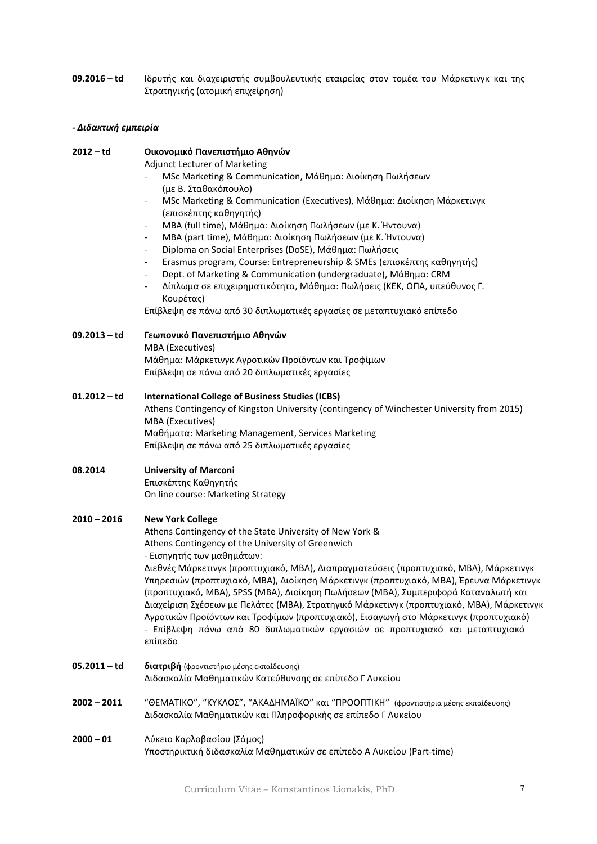**09.2016 – td** Ιδρυτής και διαχειριστής συμβουλευτικής εταιρείας στον τομέα του Μάρκετινγκ και της Στρατηγικής (ατομική επιχείρηση)

## *- Διδακτική εμπειρία*

#### **2012 – td Οικονομικό Πανεπιστήμιο Αθηνών**

Adjunct Lecturer of Marketing

- MSc Marketing & Communication, Μάθημα: Διοίκηση Πωλήσεων (με Β. Σταθακόπουλο)
- MSc Marketing & Communication (Executives), Μάθημα: Διοίκηση Μάρκετινγκ (επισκέπτης καθηγητής)
- MBA (full time), Μάθημα: Διοίκηση Πωλήσεων (με Κ. Ήντουνα)
- MBA (part time), Μάθημα: Διοίκηση Πωλήσεων (με Κ. Ήντουνα)
- Diploma on Social Enterprises (DoSE), Μάθημα: Πωλήσεις
- Erasmus program, Course: Entrepreneurship & SMEs (επισκέπτης καθηγητής)
- Dept. of Marketing & Communication (undergraduate), Μάθημα: CRM
- Δίπλωμα σε επιχειρηματικότητα, Μάθημα: Πωλήσεις (ΚΕΚ, ΟΠΑ, υπεύθυνος Γ. Κουρέτας)

Επίβλεψη σε πάνω από 30 διπλωματικές εργασίες σε μεταπτυχιακό επίπεδο

**09.2013 – td Γεωπονικό Πανεπιστήμιο Αθηνών**

MBA (Executives) Μάθημα: Μάρκετινγκ Αγροτικών Προϊόντων και Τροφίμων Επίβλεψη σε πάνω από 20 διπλωματικές εργασίες

#### **01.2012 – td International College of Business Studies (ICBS)**

Athens Contingency of Kingston University (contingency of Winchester University from 2015) MBA (Executives) Μαθήματα: Marketing Management, Services Marketing Επίβλεψη σε πάνω από 25 διπλωματικές εργασίες

## **08.2014 University of Marconi**  Επισκέπτης Καθηγητής On line course: Marketing Strategy

## **2010 – 2016 New York College**

Athens Contingency of the State University of New York & Athens Contingency of the University of Greenwich - Εισηγητής των μαθημάτων:

Διεθνές Μάρκετινγκ (προπτυχιακό, MBA), Διαπραγματεύσεις (προπτυχιακό, ΜΒΑ), Μάρκετινγκ Υπηρεσιών (προπτυχιακό, ΜΒΑ), Διοίκηση Μάρκετινγκ (προπτυχιακό, MBA), Έρευνα Μάρκετινγκ (προπτυχιακό, MBA), SPSS (MBA), Διοίκηση Πωλήσεων (MBA), Συμπεριφορά Καταναλωτή και Διαχείριση Σχέσεων με Πελάτες (MBA), Στρατηγικό Μάρκετινγκ (προπτυχιακό, ΜΒΑ), Μάρκετινγκ Αγροτικών Προϊόντων και Τροφίμων (προπτυχιακό), Εισαγωγή στο Μάρκετινγκ (προπτυχιακό) - Επίβλεψη πάνω από 80 διπλωματικών εργασιών σε προπτυχιακό και μεταπτυχιακό επίπεδο

- **05.2011 – td διατριβή** (φροντιστήριο μέσης εκπαίδευσης) Διδασκαλία Μαθηματικών Κατεύθυνσης σε επίπεδο Γ Λυκείου
- **2002 – 2011** "ΘΕΜΑΤΙΚΟ", "ΚΥΚΛΟΣ", "ΑΚΑΔΗΜΑΪΚΟ" και "ΠΡΟΟΠΤΙΚΗ" (φροντιστήρια μέσης εκπαίδευσης) Διδασκαλία Μαθηματικών και Πληροφορικής σε επίπεδο Γ Λυκείου
- **2000 – 01** Λύκειο Καρλοβασίου (Σάμος) Υποστηρικτική διδασκαλία Μαθηματικών σε επίπεδο Α Λυκείου (Part-time)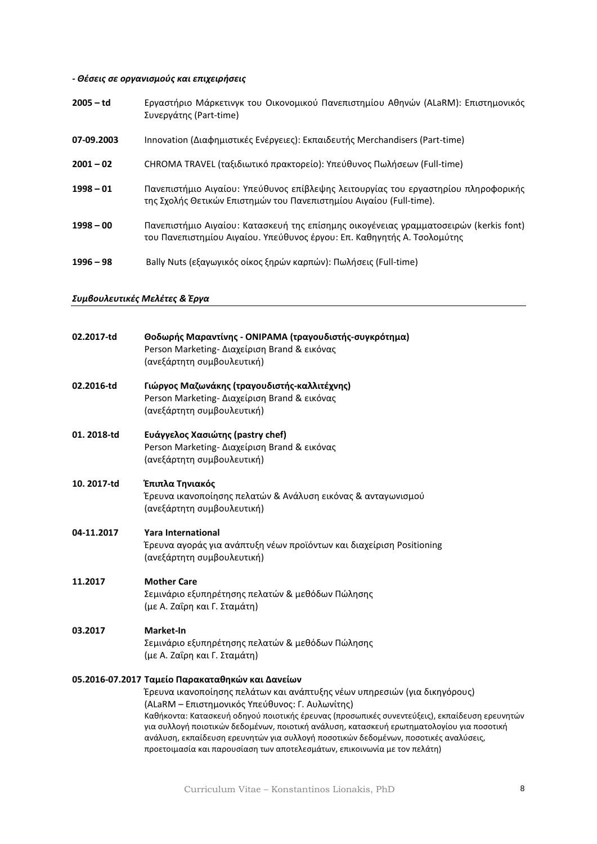# *- Θέσεις σε οργανισμούς και επιχειρήσεις*

| $2005 - td$ | Εργαστήριο Μάρκετινγκ του Οικονομικού Πανεπιστημίου Αθηνών (ALaRM): Επιστημονικός<br>Συνεργάτης (Part-time)                                                      |
|-------------|------------------------------------------------------------------------------------------------------------------------------------------------------------------|
| 07-09.2003  | Innovation (Διαφημιστικές Ενέργειες): Εκπαιδευτής Merchandisers (Part-time)                                                                                      |
| $2001 - 02$ | CHROMA TRAVEL (ταξιδιωτικό πρακτορείο): Υπεύθυνος Πωλήσεων (Full-time)                                                                                           |
| $1998 - 01$ | Πανεπιστήμιο Αιγαίου: Υπεύθυνος επίβλεψης λειτουργίας του εργαστηρίου πληροφορικής<br>της Σχολής Θετικών Επιστημών του Πανεπιστημίου Αιγαίου (Full-time).        |
| $1998 - 00$ | Πανεπιστήμιο Αιγαίου: Κατασκευή της επίσημης οικογένειας γραμματοσειρών (kerkis font)<br>του Πανεπιστημίου Αιγαίου. Υπεύθυνος έργου: Επ. Καθηγητής Α. Τσολομύτης |
| $1996 - 98$ | Bally Nuts (εξαγωγικός οίκος ξηρών καρπών): Πωλήσεις (Full-time)                                                                                                 |

# *Συμβουλευτικές Μελέτες & Έργα*

| 02.2017-td  | Θοδωρής Μαραντίνης - ΟΝΙΡΑΜΑ (τραγουδιστής-συγκρότημα)<br>Person Marketing- Διαχείριση Brand & εικόνας<br>(ανεξάρτητη συμβουλευτική)                                                                                                                                                                                                                                                                                                                                                           |
|-------------|------------------------------------------------------------------------------------------------------------------------------------------------------------------------------------------------------------------------------------------------------------------------------------------------------------------------------------------------------------------------------------------------------------------------------------------------------------------------------------------------|
| 02.2016-td  | Γιώργος Μαζωνάκης (τραγουδιστής-καλλιτέχνης)<br>Person Marketing- Διαχείριση Brand & εικόνας<br>(ανεξάρτητη συμβουλευτική)                                                                                                                                                                                                                                                                                                                                                                     |
| 01.2018-td  | Ευάγγελος Χασιώτης (pastry chef)<br>Person Marketing- Διαχείριση Brand & εικόνας<br>(ανεξάρτητη συμβουλευτική)                                                                                                                                                                                                                                                                                                                                                                                 |
| 10. 2017-td | Έπιπλα Τηνιακός<br>Έρευνα ικανοποίησης πελατών & Ανάλυση εικόνας & ανταγωνισμού<br>(ανεξάρτητη συμβουλευτική)                                                                                                                                                                                                                                                                                                                                                                                  |
| 04-11.2017  | <b>Yara International</b><br>Έρευνα αγοράς για ανάπτυξη νέων προϊόντων και διαχείριση Positioning<br>(ανεξάρτητη συμβουλευτική)                                                                                                                                                                                                                                                                                                                                                                |
| 11.2017     | <b>Mother Care</b><br>Σεμινάριο εξυπηρέτησης πελατών & μεθόδων Πώλησης<br>(με Α. Ζαΐρη και Γ. Σταμάτη)                                                                                                                                                                                                                                                                                                                                                                                         |
| 03.2017     | Market-In<br>Σεμινάριο εξυπηρέτησης πελατών & μεθόδων Πώλησης<br>(με Α. Ζαΐρη και Γ. Σταμάτη)                                                                                                                                                                                                                                                                                                                                                                                                  |
|             | 05.2016-07.2017 Ταμείο Παρακαταθηκών και Δανείων                                                                                                                                                                                                                                                                                                                                                                                                                                               |
|             | Έρευνα ικανοποίησης πελάτων και ανάπτυξης νέων υπηρεσιών (για δικηγόρους)<br>(ALaRM - Επιστημονικός Υπεύθυνος: Γ. Αυλωνίτης)<br>Καθήκοντα: Κατασκευή οδηγού ποιοτικής έρευνας (προσωπικές συνεντεύξεις), εκπαίδευση ερευνητών<br>για συλλογή ποιοτικών δεδομένων, ποιοτική ανάλυση, κατασκευή ερωτηματολογίου για ποσοτική<br>ανάλυση, εκπαίδευση ερευνητών για συλλογή ποσοτικών δεδομένων, ποσοτικές αναλύσεις,<br>προετοιμασία και παρουσίαση των αποτελεσμάτων, επικοινωνία με τον πελάτη) |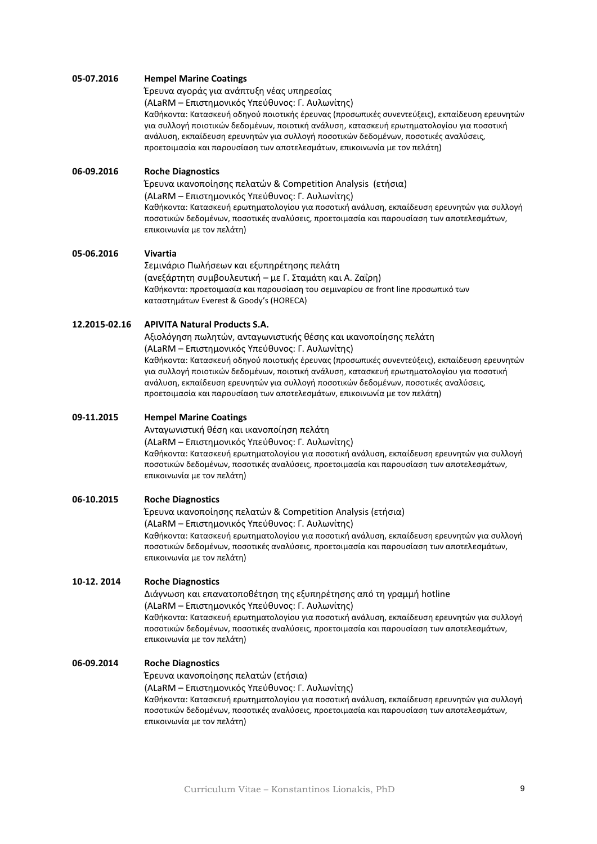#### **05-07.2016 Hempel Marine Coatings**

Έρευνα αγοράς για ανάπτυξη νέας υπηρεσίας

(ALaRM – Επιστημονικός Υπεύθυνος: Γ. Αυλωνίτης)

Καθήκοντα: Κατασκευή οδηγού ποιοτικής έρευνας (προσωπικές συνεντεύξεις), εκπαίδευση ερευνητών για συλλογή ποιοτικών δεδομένων, ποιοτική ανάλυση, κατασκευή ερωτηματολογίου για ποσοτική ανάλυση, εκπαίδευση ερευνητών για συλλογή ποσοτικών δεδομένων, ποσοτικές αναλύσεις, προετοιμασία και παρουσίαση των αποτελεσμάτων, επικοινωνία με τον πελάτη)

## **06-09.2016 Roche Diagnostics**

Έρευνα ικανοποίησης πελατών & Competition Analysis (ετήσια) (ALaRM – Επιστημονικός Υπεύθυνος: Γ. Αυλωνίτης) Καθήκοντα: Κατασκευή ερωτηματολογίου για ποσοτική ανάλυση, εκπαίδευση ερευνητών για συλλογή ποσοτικών δεδομένων, ποσοτικές αναλύσεις, προετοιμασία και παρουσίαση των αποτελεσμάτων, επικοινωνία με τον πελάτη)

#### **05-06.2016 Vivartia**

Σεμινάριο Πωλήσεων και εξυπηρέτησης πελάτη (ανεξάρτητη συμβουλευτική – με Γ. Σταμάτη και Α. Ζαΐρη) Καθήκοντα: προετοιμασία και παρουσίαση του σεμιναρίου σε front line προσωπικό των καταστημάτων Everest & Goody's (HORECA)

## **12.2015-02.16 APIVITA Natural Products S.A.**

Αξιολόγηση πωλητών, ανταγωνιστικής θέσης και ικανοποίησης πελάτη (ALaRM – Επιστημονικός Υπεύθυνος: Γ. Αυλωνίτης) Καθήκοντα: Κατασκευή οδηγού ποιοτικής έρευνας (προσωπικές συνεντεύξεις), εκπαίδευση ερευνητών για συλλογή ποιοτικών δεδομένων, ποιοτική ανάλυση, κατασκευή ερωτηματολογίου για ποσοτική ανάλυση, εκπαίδευση ερευνητών για συλλογή ποσοτικών δεδομένων, ποσοτικές αναλύσεις, προετοιμασία και παρουσίαση των αποτελεσμάτων, επικοινωνία με τον πελάτη)

#### **09-11.2015 Hempel Marine Coatings**

Ανταγωνιστική θέση και ικανοποίηση πελάτη

(ALaRM – Επιστημονικός Υπεύθυνος: Γ. Αυλωνίτης)

Καθήκοντα: Κατασκευή ερωτηματολογίου για ποσοτική ανάλυση, εκπαίδευση ερευνητών για συλλογή ποσοτικών δεδομένων, ποσοτικές αναλύσεις, προετοιμασία και παρουσίαση των αποτελεσμάτων, επικοινωνία με τον πελάτη)

## **06-10.2015 Roche Diagnostics**

Έρευνα ικανοποίησης πελατών & Competition Analysis (ετήσια) (ALaRM – Επιστημονικός Υπεύθυνος: Γ. Αυλωνίτης) Καθήκοντα: Κατασκευή ερωτηματολογίου για ποσοτική ανάλυση, εκπαίδευση ερευνητών για συλλογή ποσοτικών δεδομένων, ποσοτικές αναλύσεις, προετοιμασία και παρουσίαση των αποτελεσμάτων, επικοινωνία με τον πελάτη)

#### **10-12. 2014 Roche Diagnostics**

Διάγνωση και επανατοποθέτηση της εξυπηρέτησης από τη γραμμή hotline (ALaRM – Επιστημονικός Υπεύθυνος: Γ. Αυλωνίτης) Καθήκοντα: Κατασκευή ερωτηματολογίου για ποσοτική ανάλυση, εκπαίδευση ερευνητών για συλλογή ποσοτικών δεδομένων, ποσοτικές αναλύσεις, προετοιμασία και παρουσίαση των αποτελεσμάτων, επικοινωνία με τον πελάτη)

#### **06-09.2014 Roche Diagnostics**

Έρευνα ικανοποίησης πελατών (ετήσια)

(ALaRM – Επιστημονικός Υπεύθυνος: Γ. Αυλωνίτης)

Καθήκοντα: Κατασκευή ερωτηματολογίου για ποσοτική ανάλυση, εκπαίδευση ερευνητών για συλλογή ποσοτικών δεδομένων, ποσοτικές αναλύσεις, προετοιμασία και παρουσίαση των αποτελεσμάτων, επικοινωνία με τον πελάτη)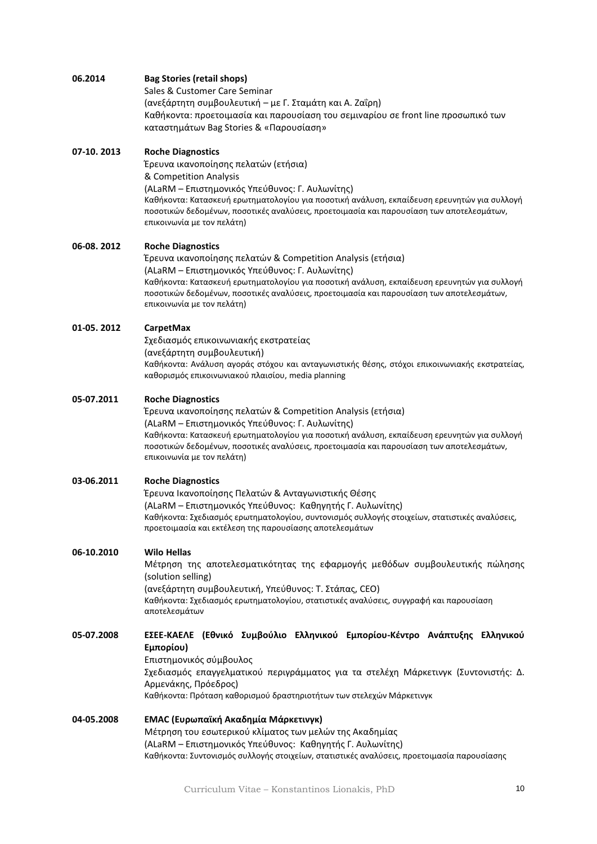# **06.2014 Bag Stories (retail shops)**

Sales & Customer Care Seminar (ανεξάρτητη συμβουλευτική – με Γ. Σταμάτη και Α. Ζαΐρη) Καθήκοντα: προετοιμασία και παρουσίαση του σεμιναρίου σε front line προσωπικό των καταστημάτων Bag Stories & «Παρουσίαση»

## **07-10. 2013 Roche Diagnostics**

Έρευνα ικανοποίησης πελατών (ετήσια) & Competition Analysis (ALaRM – Επιστημονικός Υπεύθυνος: Γ. Αυλωνίτης) Καθήκοντα: Κατασκευή ερωτηματολογίου για ποσοτική ανάλυση, εκπαίδευση ερευνητών για συλλογή ποσοτικών δεδομένων, ποσοτικές αναλύσεις, προετοιμασία και παρουσίαση των αποτελεσμάτων, επικοινωνία με τον πελάτη)

# **06-08. 2012 Roche Diagnostics**

Έρευνα ικανοποίησης πελατών & Competition Analysis (ετήσια) (ALaRM – Επιστημονικός Υπεύθυνος: Γ. Αυλωνίτης) Καθήκοντα: Κατασκευή ερωτηματολογίου για ποσοτική ανάλυση, εκπαίδευση ερευνητών για συλλογή ποσοτικών δεδομένων, ποσοτικές αναλύσεις, προετοιμασία και παρουσίαση των αποτελεσμάτων, επικοινωνία με τον πελάτη)

## **01-05. 2012 CarpetMax**

Σχεδιασμός επικοινωνιακής εκστρατείας (ανεξάρτητη συμβουλευτική) Καθήκοντα: Ανάλυση αγοράς στόχου και ανταγωνιστικής θέσης, στόχοι επικοινωνιακής εκστρατείας, καθορισμός επικοινωνιακού πλαισίου, media planning

## **05-07.2011 Roche Diagnostics**

Έρευνα ικανοποίησης πελατών & Competition Analysis (ετήσια) (ALaRM – Επιστημονικός Υπεύθυνος: Γ. Αυλωνίτης) Καθήκοντα: Κατασκευή ερωτηματολογίου για ποσοτική ανάλυση, εκπαίδευση ερευνητών για συλλογή ποσοτικών δεδομένων, ποσοτικές αναλύσεις, προετοιμασία και παρουσίαση των αποτελεσμάτων, επικοινωνία με τον πελάτη)

## **03-06.2011 Roche Diagnostics**

Έρευνα Ικανοποίησης Πελατών & Ανταγωνιστικής Θέσης (ALaRM – Επιστημονικός Υπεύθυνος: Καθηγητής Γ. Αυλωνίτης) Καθήκοντα: Σχεδιασμός ερωτηματολογίου, συντονισμός συλλογής στοιχείων, στατιστικές αναλύσεις, προετοιμασία και εκτέλεση της παρουσίασης αποτελεσμάτων

## **06-10.2010 Wilo Hellas**

Μέτρηση της αποτελεσματικότητας της εφαρμογής μεθόδων συμβουλευτικής πώλησης (solution selling)

(ανεξάρτητη συμβουλευτική, Υπεύθυνος: Τ. Στάπας, CEO) Καθήκοντα: Σχεδιασμός ερωτηματολογίου, στατιστικές αναλύσεις, συγγραφή και παρουσίαση αποτελεσμάτων

# **05-07.2008 ΕΣΕΕ-ΚΑΕΛΕ (Εθνικό Συμβούλιο Ελληνικού Εμπορίου-Κέντρο Ανάπτυξης Ελληνικού Εμπορίου)**

Επιστημονικός σύμβουλος

Σχεδιασμός επαγγελματικού περιγράμματος για τα στελέχη Μάρκετινγκ (Συντονιστής: Δ. Αρμενάκης, Πρόεδρος) Καθήκοντα: Πρόταση καθορισμού δραστηριοτήτων των στελεχών Μάρκετινγκ

## **04-05.2008 EMAC (Ευρωπαϊκή Ακαδημία Μάρκετινγκ)** Μέτρηση του εσωτερικού κλίματος των μελών της Ακαδημίας (ALaRM – Επιστημονικός Υπεύθυνος: Καθηγητής Γ. Αυλωνίτης) Καθήκοντα: Συντονισμός συλλογής στοιχείων, στατιστικές αναλύσεις, προετοιμασία παρουσίασης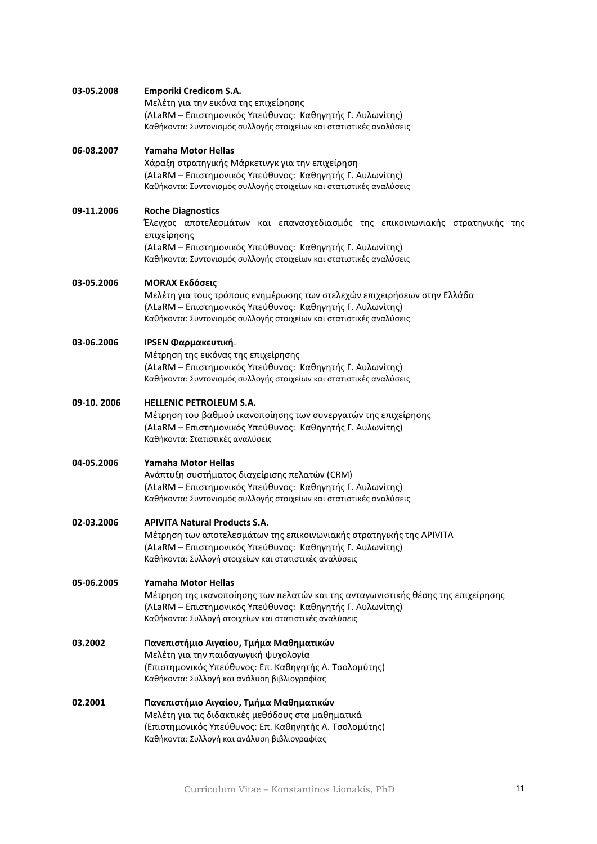| 03-05.2008 | Emporiki Credicom S.A.<br>Μελέτη για την εικόνα της επιχείρησης<br>(ALaRM - Επιστημονικός Υπεύθυνος: Καθηγητής Γ. Αυλωνίτης)<br>Καθήκοντα: Συντονισμός συλλογής στοιχείων και στατιστικές αναλύσεις                                                            |
|------------|----------------------------------------------------------------------------------------------------------------------------------------------------------------------------------------------------------------------------------------------------------------|
| 06-08.2007 | Yamaha Motor Hellas<br>Χάραξη στρατηγικής Μάρκετινγκ για την επιχείρηση<br>(ALaRM – Επιστημονικός Υπεύθυνος: Καθηγητής Γ. Αυλωνίτης)<br>Καθήκοντα: Συντονισμός συλλογής στοιχείων και στατιστικές αναλύσεις                                                    |
| 09-11.2006 | <b>Roche Diagnostics</b><br>Έλεγχος αποτελεσμάτων και επανασχεδιασμός της επικοινωνιακής στρατηγικής<br>της<br>επιχείρησης<br>(ALaRM - Επιστημονικός Υπεύθυνος: Καθηγητής Γ. Αυλωνίτης)<br>Καθήκοντα: Συντονισμός συλλογής στοιχείων και στατιστικές αναλύσεις |
| 03-05.2006 | <b>MORAX Εκδόσεις</b><br>Μελέτη για τους τρόπους ενημέρωσης των στελεχών επιχειρήσεων στην Ελλάδα<br>(ALaRM – Επιστημονικός Υπεύθυνος: Καθηγητής Γ. Αυλωνίτης)<br>Καθήκοντα: Συντονισμός συλλογής στοιχείων και στατιστικές αναλύσεις                          |
| 03-06.2006 | IPSEN Φαρμακευτική.<br>Μέτρηση της εικόνας της επιχείρησης<br>(ALaRM – Επιστημονικός Υπεύθυνος: Καθηγητής Γ. Αυλωνίτης)<br>Καθήκοντα: Συντονισμός συλλογής στοιχείων και στατιστικές αναλύσεις                                                                 |
| 09-10.2006 | <b>HELLENIC PETROLEUM S.A.</b><br>Μέτρηση του βαθμού ικανοποίησης των συνεργατών της επιχείρησης<br>(ALaRM – Επιστημονικός Υπεύθυνος: Καθηγητής Γ. Αυλωνίτης)<br>Καθήκοντα: Στατιστικές αναλύσεις                                                              |
| 04-05.2006 | Yamaha Motor Hellas<br>Ανάπτυξη συστήματος διαχείρισης πελατών (CRM)<br>(ALaRM – Επιστημονικός Υπεύθυνος: Καθηγητής Γ. Αυλωνίτης)<br>Καθήκοντα: Συντονισμός συλλογής στοιχείων και στατιστικές αναλύσεις                                                       |
| 02-03.2006 | <b>APIVITA Natural Products S.A.</b><br>Μέτρηση των αποτελεσμάτων της επικοινωνιακής στρατηγικής της ΑΡΙVΙΤΑ<br>(ALaRM – Επιστημονικός Υπεύθυνος: Καθηγητής Γ. Αυλωνίτης)<br>Καθήκοντα: Συλλογή στοιχείων και στατιστικές αναλύσεις                            |
| 05-06.2005 | Yamaha Motor Hellas<br>Μέτρηση της ικανοποίησης των πελατών και της ανταγωνιστικής θέσης της επιχείρησης<br>(ALaRM - Επιστημονικός Υπεύθυνος: Καθηγητής Γ. Αυλωνίτης)<br>Καθήκοντα: Συλλογή στοιχείων και στατιστικές αναλύσεις                                |
| 03.2002    | Πανεπιστήμιο Αιγαίου, Τμήμα Μαθηματικών<br>Μελέτη για την παιδαγωγική ψυχολογία<br>(Επιστημονικός Υπεύθυνος: Επ. Καθηγητής Α. Τσολομύτης)<br>Καθήκοντα: Συλλογή και ανάλυση βιβλιογραφίας                                                                      |
| 02.2001    | Πανεπιστήμιο Αιγαίου, Τμήμα Μαθηματικών<br>Μελέτη για τις διδακτικές μεθόδους στα μαθηματικά<br>(Επιστημονικός Υπεύθυνος: Επ. Καθηγητής Α. Τσολομύτης)<br>Καθήκοντα: Συλλογή και ανάλυση βιβλιογραφίας                                                         |